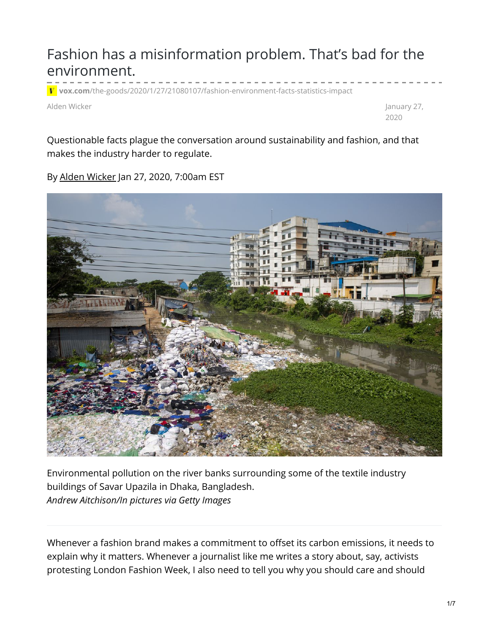## Fashion has a misinformation problem. That's bad for the environment.

**vox.com**[/the-goods/2020/1/27/21080107/fashion-environment-facts-statistics-impact](https://www.vox.com/the-goods/2020/1/27/21080107/fashion-environment-facts-statistics-impact)

Alden Wicker January 27,

2020

Questionable facts plague the conversation around sustainability and fashion, and that makes the industry harder to regulate.

By Alden [Wicker](https://www.vox.com/users/AldenWicker) Jan 27, 2020, 7:00am EST



Environmental pollution on the river banks surrounding some of the textile industry buildings of Savar Upazila in Dhaka, Bangladesh. *Andrew Aitchison/In pictures via Getty Images*

Whenever a fashion brand makes a commitment to offset its carbon emissions, it needs to explain why it matters. Whenever a journalist like me writes a story about, say, activists protesting London Fashion Week, I also need to tell you why you should care and should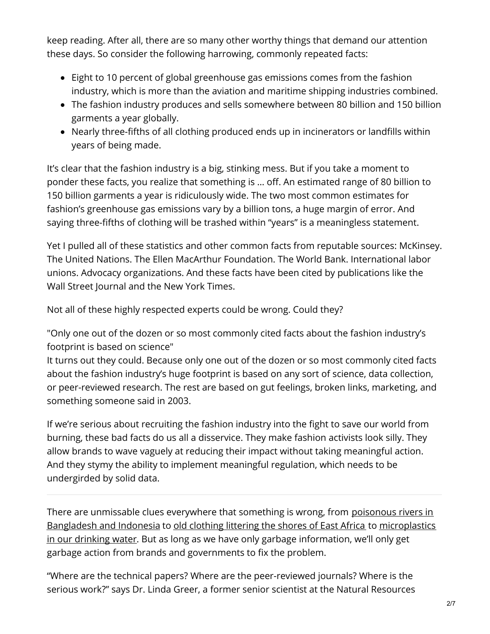keep reading. After all, there are so many other worthy things that demand our attention these days. So consider the following harrowing, commonly repeated facts:

- Eight to 10 percent of global greenhouse gas emissions comes from the fashion industry, which is more than the aviation and maritime shipping industries combined.
- The fashion industry produces and sells somewhere between 80 billion and 150 billion garments a year globally.
- Nearly three-fifths of all clothing produced ends up in incinerators or landfills within years of being made.

It's clear that the fashion industry is a big, stinking mess. But if you take a moment to ponder these facts, you realize that something is … off. An estimated range of 80 billion to 150 billion garments a year is ridiculously wide. The two most common estimates for fashion's greenhouse gas emissions vary by a billion tons, a huge margin of error. And saying three-fifths of clothing will be trashed within "years" is a meaningless statement.

Yet I pulled all of these statistics and other common facts from reputable sources: McKinsey. The United Nations. The Ellen MacArthur Foundation. The World Bank. International labor unions. Advocacy organizations. And these facts have been cited by publications like the Wall Street Journal and the New York Times.

Not all of these highly respected experts could be wrong. Could they?

"Only one out of the dozen or so most commonly cited facts about the fashion industry's footprint is based on science"

It turns out they could. Because only one out of the dozen or so most commonly cited facts about the fashion industry's huge footprint is based on any sort of science, data collection, or peer-reviewed research. The rest are based on gut feelings, broken links, marketing, and something someone said in 2003.

If we're serious about recruiting the fashion industry into the fight to save our world from burning, these bad facts do us all a disservice. They make fashion activists look silly. They allow brands to wave vaguely at reducing their impact without taking meaningful action. And they stymy the ability to implement meaningful regulation, which needs to be undergirded by solid data.

There are unmissable clues everywhere that something is wrong, from poisonous rivers in Bangladesh and Indonesia to old [clothing](https://www.racked.com/2018/1/25/16923226/east-africa-used-clothing-ban) littering the shores of East Africa to [microplastics](https://www.vox.com/the-goods/2018/9/19/17800654/clothes-plastic-pollution-polyester-washing-machine) in our drinking water. But as long as we have only garbage information, we'll only get garbage action from brands and governments to fix the problem.

"Where are the technical papers? Where are the peer-reviewed journals? Where is the serious work?" says Dr. Linda Greer, a former senior scientist at the Natural Resources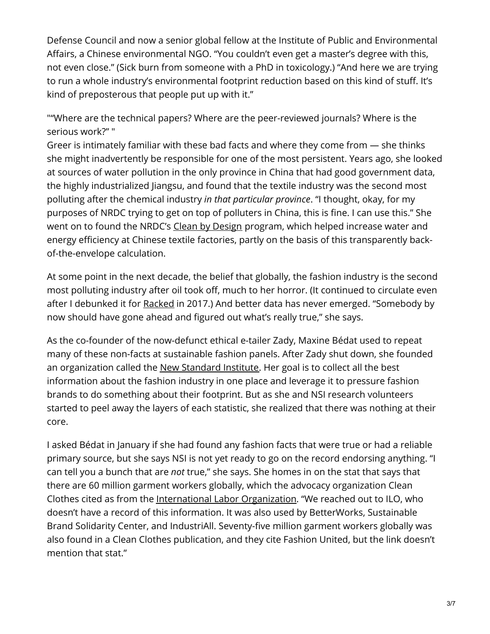Defense Council and now a senior global fellow at the Institute of Public and Environmental Affairs, a Chinese environmental NGO. "You couldn't even get a master's degree with this, not even close." (Sick burn from someone with a PhD in toxicology.) "And here we are trying to run a whole industry's environmental footprint reduction based on this kind of stuff. It's kind of preposterous that people put up with it."

""Where are the technical papers? Where are the peer-reviewed journals? Where is the serious work?" "

Greer is intimately familiar with these bad facts and where they come from — she thinks she might inadvertently be responsible for one of the most persistent. Years ago, she looked at sources of water pollution in the only province in China that had good government data, the highly industrialized Jiangsu, and found that the textile industry was the second most polluting after the chemical industry *in that particular province*. "I thought, okay, for my purposes of NRDC trying to get on top of polluters in China, this is fine. I can use this." She went on to found the NRDC's Clean by [Design](https://www.nrdc.org/resources/clean-design-apparel-manufacturing-and-pollution) program, which helped increase water and energy efficiency at Chinese textile factories, partly on the basis of this transparently backof-the-envelope calculation.

At some point in the next decade, the belief that globally, the fashion industry is the second most polluting industry after oil took off, much to her horror. (It continued to circulate even after I debunked it for [Racked](https://www.racked.com/2017/3/15/14842476/fashion-climate-change-environment-pollution) in 2017.) And better data has never emerged. "Somebody by now should have gone ahead and figured out what's really true," she says.

As the co-founder of the now-defunct ethical e-tailer Zady, Maxine Bédat used to repeat many of these non-facts at sustainable fashion panels. After Zady shut down, she founded an organization called the New [Standard](https://www.newstandardinstitute.org/) Institute. Her goal is to collect all the best information about the fashion industry in one place and leverage it to pressure fashion brands to do something about their footprint. But as she and NSI research volunteers started to peel away the layers of each statistic, she realized that there was nothing at their core.

I asked Bédat in January if she had found any fashion facts that were true or had a reliable primary source, but she says NSI is not yet ready to go on the record endorsing anything. "I can tell you a bunch that are *not* true," she says. She homes in on the stat that says that there are 60 million garment workers globally, which the advocacy organization Clean Clothes cited as from the [International](https://www.ilo.org/global/lang%E2%80%94en/index.htm) Labor Organization. "We reached out to ILO, who doesn't have a record of this information. It was also used by BetterWorks, Sustainable Brand Solidarity Center, and IndustriAll. Seventy-five million garment workers globally was also found in a Clean Clothes publication, and they cite Fashion United, but the link doesn't mention that stat."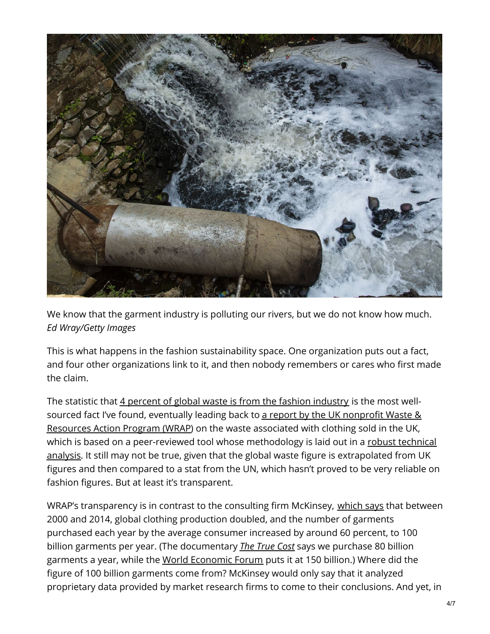

We know that the garment industry is polluting our rivers, but we do not know how much. *Ed Wray/Getty Images*

This is what happens in the fashion sustainability space. One organization puts out a fact, and four other organizations link to it, and then nobody remembers or cares who first made the claim.

The statistic that 4 percent of global waste is from the fashion [industry](https://globalfashionagenda.com/wp-content/uploads/2017/05/Pulse-of-the-Fashion-Industry_2017.pdf) is the most wellsourced fact I've found, eventually leading back to a report by the UK nonprofit Waste & Resources Action Program (WRAP) on the waste [associated](https://www.wrap.org.uk/sites/files/wrap/VoC FINAL online 2012 07 11.pdf) with clothing sold in the UK, which is based on a [peer-reviewed](https://www.wrap.org.uk/sites/files/wrap/SCAP footprint calculator data.pdf) tool whose methodology is laid out in a robust technical analysis. It still may not be true, given that the global waste figure is extrapolated from UK figures and then compared to a stat from the UN, which hasn't proved to be very reliable on fashion figures. But at least it's transparent.

WRAP's transparency is in contrast to the consulting firm McKinsey, [which](https://www.mckinsey.com/business-functions/sustainability/our-insights/style-thats-sustainable-a-new-fast-fashion-formula#) says that between 2000 and 2014, global clothing production doubled, and the number of garments purchased each year by the average consumer increased by around 60 percent, to 100 billion garments per year. (The documentary *The [True](https://truecostmovie.com/learn-more/environmental-impact/) Cost* says we purchase 80 billion garments a year, while the World [Economic](https://www.weforum.org/agenda/2016/04/our-love-of-cheap-clothing-has-a-hidden-cost-it-s-time-the-fashion-industry-changed/) Forum puts it at 150 billion.) Where did the figure of 100 billion garments come from? McKinsey would only say that it analyzed proprietary data provided by market research firms to come to their conclusions. And yet, in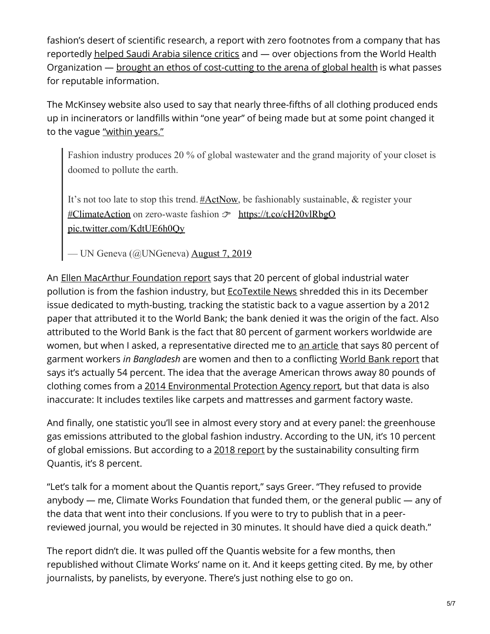fashion's desert of scientific research, a report with zero footnotes from a company that has reportedly [helped](https://www.vox.com/2018/10/20/18003792/saudi-arabia-mckinsey-twitter-khashoggi) Saudi Arabia silence critics and — over objections from the World Health Organization — brought an ethos of [cost-cutting](https://www.vox.com/science-and-health/2019/12/13/21004456/bill-gates-mckinsey-global-public-health-bcg) to the arena of global health is what passes for reputable information.

The McKinsey website also used to say that nearly three-fifths of all clothing produced ends up in incinerators or landfills within "one year" of being made but at some point changed it to the vague ["within](https://www.mckinsey.com/business-functions/sustainability/our-insights/style-thats-sustainable-a-new-fast-fashion-formula) years."

Fashion industry produces 20 % of global wastewater and the grand majority of your closet is doomed to pollute the earth.

It's not too late to stop this trend. [#ActNow](https://twitter.com/hashtag/ActNow?src=hash&ref_src=twsrc%5Etfw), be fashionably sustainable, & register your [#ClimateAction](https://twitter.com/hashtag/ClimateAction?src=hash&ref_src=twsrc%5Etfw) on zero-waste fashion **F** <https://t.co/cH20vlRbgO> [pic.twitter.com/KdtUE6h0Qy](https://t.co/KdtUE6h0Qy)

— UN Geneva (@UNGeneva) [August](https://twitter.com/UNGeneva/status/1159181162188664832?ref_src=twsrc%5Etfw) 7, 2019

An Ellen MacArthur [Foundation](https://www.ellenmacarthurfoundation.org/publications/a-new-textiles-economy-redesigning-fashions-future) report says that 20 percent of global industrial water pollution is from the fashion industry, but [EcoTextile](https://www.ecotextile.com/) News shredded this in its December issue dedicated to myth-busting, tracking the statistic back to a vague assertion by a 2012 paper that attributed it to the World Bank; the bank denied it was the origin of the fact. Also attributed to the World Bank is the fact that 80 percent of garment workers worldwide are women, but when I asked, a representative directed me to an [article](https://www.worldbank.org/en/news/feature/2017/02/07/in-bangladesh-empowering-and-employing-women-in-the-garments-sector) that says 80 percent of garment workers *in Bangladesh* are women and then to a conflicting World Bank [report](https://www.worldbank.org/en/news/feature/2017/02/07/in-bangladesh-empowering-and-employing-women-in-the-garments-sector) that says it's actually 54 percent. The idea that the average American throws away 80 pounds of clothing comes from a 2014 [Environmental](https://www.epa.gov/sites/production/files/2016-11/documents/2014_smmfactsheet_508.pdf) Protection Agency report, but that data is also inaccurate: It includes textiles like carpets and mattresses and garment factory waste.

And finally, one statistic you'll see in almost every story and at every panel: the greenhouse gas emissions attributed to the global fashion industry. According to the UN, it's 10 percent of global emissions. But according to a 2018 [report](https://quantis-intl.com/measuring-fashion-report-2018/) by the sustainability consulting firm Quantis, it's 8 percent.

"Let's talk for a moment about the Quantis report," says Greer. "They refused to provide anybody — me, Climate Works Foundation that funded them, or the general public — any of the data that went into their conclusions. If you were to try to publish that in a peerreviewed journal, you would be rejected in 30 minutes. It should have died a quick death."

The report didn't die. It was pulled off the Quantis website for a few months, then republished without Climate Works' name on it. And it keeps getting cited. By me, by other journalists, by panelists, by everyone. There's just nothing else to go on.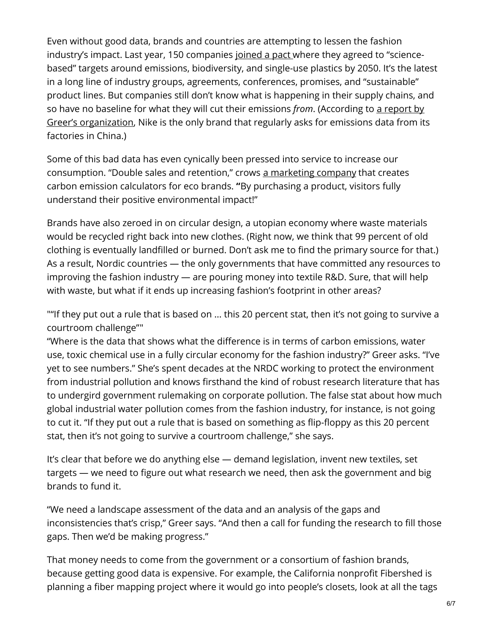Even without good data, brands and countries are attempting to lessen the fashion industry's impact. Last year, 150 companies [joined](https://www.vogue.com/article/fashion-pact-sustainability-g7-summit-emmanuel-macron) a pact where they agreed to "sciencebased" targets around emissions, biodiversity, and single-use plastics by 2050. It's the latest in a long line of industry groups, agreements, conferences, promises, and "sustainable" product lines. But companies still don't know what is happening in their supply chains, and so have no baseline for what they will cut their emissions *from*. (According to a report by Greer's [organization,](https://sourcingjournal.com/topics/sustainability/china-supply-chain-climate-change-emissions-nike-factory-energy-186884/) Nike is the only brand that regularly asks for emissions data from its factories in China.)

Some of this bad data has even cynically been pressed into service to increase our consumption. "Double sales and retention," crows a [marketing](https://greenstory.ca/) company that creates carbon emission calculators for eco brands. **"**By purchasing a product, visitors fully understand their positive environmental impact!"

Brands have also zeroed in on circular design, a utopian economy where waste materials would be recycled right back into new clothes. (Right now, we think that 99 percent of old clothing is eventually landfilled or burned. Don't ask me to find the primary source for that.) As a result, Nordic countries — the only governments that have committed any resources to improving the fashion industry — are pouring money into textile R&D. Sure, that will help with waste, but what if it ends up increasing fashion's footprint in other areas?

""If they put out a rule that is based on ... this 20 percent stat, then it's not going to survive a courtroom challenge""

"Where is the data that shows what the difference is in terms of carbon emissions, water use, toxic chemical use in a fully circular economy for the fashion industry?" Greer asks. "I've yet to see numbers." She's spent decades at the NRDC working to protect the environment from industrial pollution and knows firsthand the kind of robust research literature that has to undergird government rulemaking on corporate pollution. The false stat about how much global industrial water pollution comes from the fashion industry, for instance, is not going to cut it. "If they put out a rule that is based on something as flip-floppy as this 20 percent stat, then it's not going to survive a courtroom challenge," she says.

It's clear that before we do anything else — demand legislation, invent new textiles, set targets — we need to figure out what research we need, then ask the government and big brands to fund it.

"We need a landscape assessment of the data and an analysis of the gaps and inconsistencies that's crisp," Greer says. "And then a call for funding the research to fill those gaps. Then we'd be making progress."

That money needs to come from the government or a consortium of fashion brands, because getting good data is expensive. For example, the California nonprofit Fibershed is planning a fiber mapping project where it would go into people's closets, look at all the tags